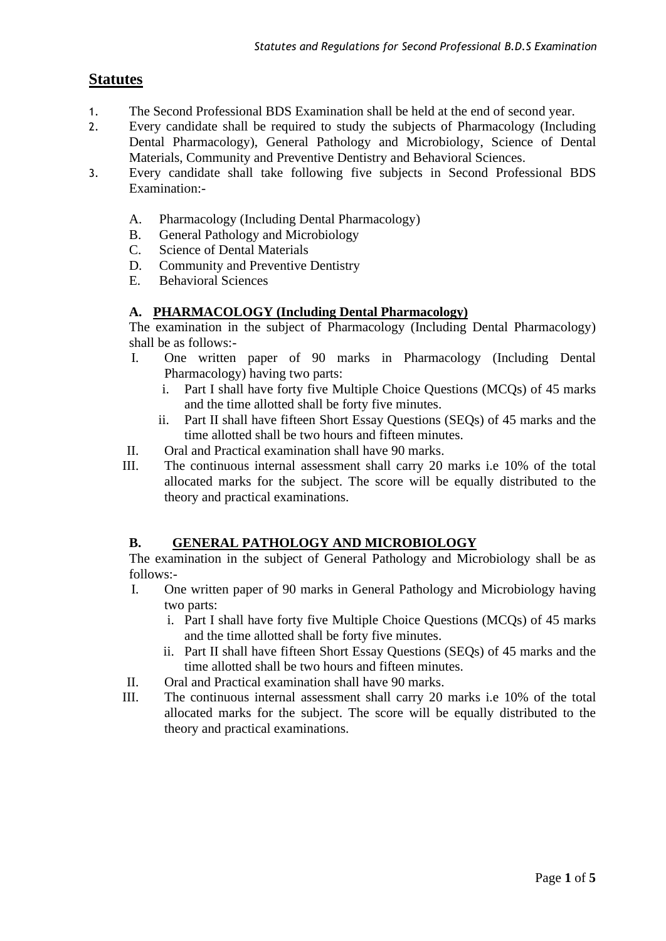## **Statutes**

- 1. The Second Professional BDS Examination shall be held at the end of second year.
- 2. Every candidate shall be required to study the subjects of Pharmacology (Including Dental Pharmacology), General Pathology and Microbiology, Science of Dental Materials, Community and Preventive Dentistry and Behavioral Sciences.
- 3. Every candidate shall take following five subjects in Second Professional BDS Examination:-
	- A. Pharmacology (Including Dental Pharmacology)
	- B. General Pathology and Microbiology
	- C. Science of Dental Materials
	- D. Community and Preventive Dentistry
	- E. Behavioral Sciences

#### **A. PHARMACOLOGY (Including Dental Pharmacology)**

The examination in the subject of Pharmacology (Including Dental Pharmacology) shall be as follows:-

- I. One written paper of 90 marks in Pharmacology (Including Dental Pharmacology) having two parts:
	- i. Part I shall have forty five Multiple Choice Questions (MCQs) of 45 marks and the time allotted shall be forty five minutes.
	- ii. Part II shall have fifteen Short Essay Questions (SEQs) of 45 marks and the time allotted shall be two hours and fifteen minutes.
- II. Oral and Practical examination shall have 90 marks.
- III. The continuous internal assessment shall carry 20 marks i.e 10% of the total allocated marks for the subject. The score will be equally distributed to the theory and practical examinations.

#### **B. GENERAL PATHOLOGY AND MICROBIOLOGY**

The examination in the subject of General Pathology and Microbiology shall be as follows:-

- I. One written paper of 90 marks in General Pathology and Microbiology having two parts:
	- i. Part I shall have forty five Multiple Choice Questions (MCQs) of 45 marks and the time allotted shall be forty five minutes.
	- ii. Part II shall have fifteen Short Essay Questions (SEQs) of 45 marks and the time allotted shall be two hours and fifteen minutes.
- II. Oral and Practical examination shall have 90 marks.
- III. The continuous internal assessment shall carry 20 marks i.e 10% of the total allocated marks for the subject. The score will be equally distributed to the theory and practical examinations.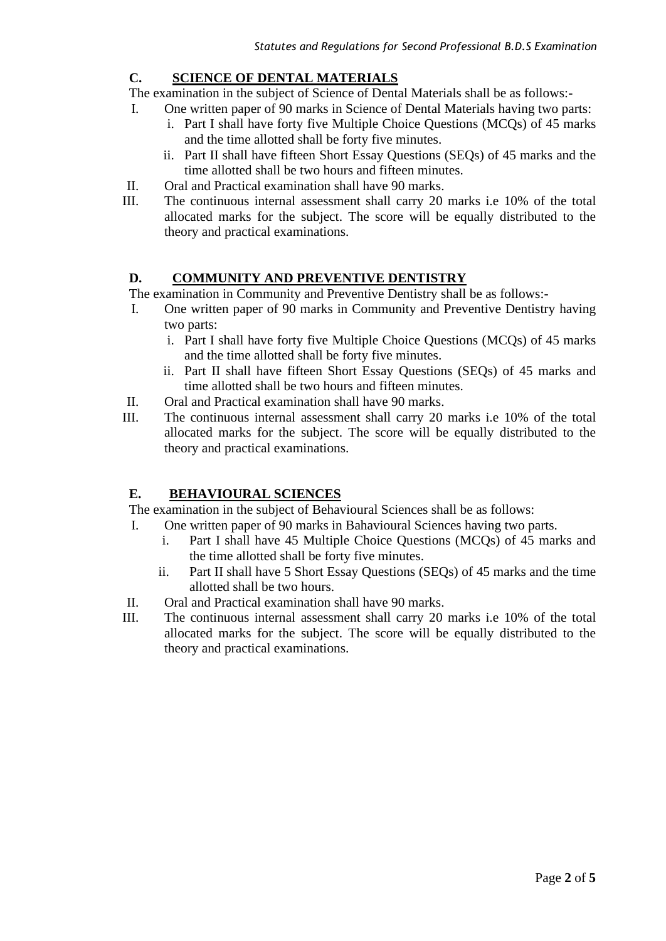## **C. SCIENCE OF DENTAL MATERIALS**

The examination in the subject of Science of Dental Materials shall be as follows:-

- I. One written paper of 90 marks in Science of Dental Materials having two parts:
	- i. Part I shall have forty five Multiple Choice Questions (MCQs) of 45 marks and the time allotted shall be forty five minutes.
	- ii. Part II shall have fifteen Short Essay Questions (SEQs) of 45 marks and the time allotted shall be two hours and fifteen minutes.
- II. Oral and Practical examination shall have 90 marks.
- III. The continuous internal assessment shall carry 20 marks i.e 10% of the total allocated marks for the subject. The score will be equally distributed to the theory and practical examinations.

## **D. COMMUNITY AND PREVENTIVE DENTISTRY**

The examination in Community and Preventive Dentistry shall be as follows:-

- I. One written paper of 90 marks in Community and Preventive Dentistry having two parts:
	- i. Part I shall have forty five Multiple Choice Questions (MCQs) of 45 marks and the time allotted shall be forty five minutes.
	- ii. Part II shall have fifteen Short Essay Questions (SEQs) of 45 marks and time allotted shall be two hours and fifteen minutes.
- II. Oral and Practical examination shall have 90 marks.
- III. The continuous internal assessment shall carry 20 marks i.e 10% of the total allocated marks for the subject. The score will be equally distributed to the theory and practical examinations.

## **E. BEHAVIOURAL SCIENCES**

The examination in the subject of Behavioural Sciences shall be as follows:

- I. One written paper of 90 marks in Bahavioural Sciences having two parts.
	- i. Part I shall have 45 Multiple Choice Questions (MCQs) of 45 marks and the time allotted shall be forty five minutes.
	- ii. Part II shall have 5 Short Essay Questions (SEQs) of 45 marks and the time allotted shall be two hours.
- II. Oral and Practical examination shall have 90 marks.
- III. The continuous internal assessment shall carry 20 marks i.e 10% of the total allocated marks for the subject. The score will be equally distributed to the theory and practical examinations.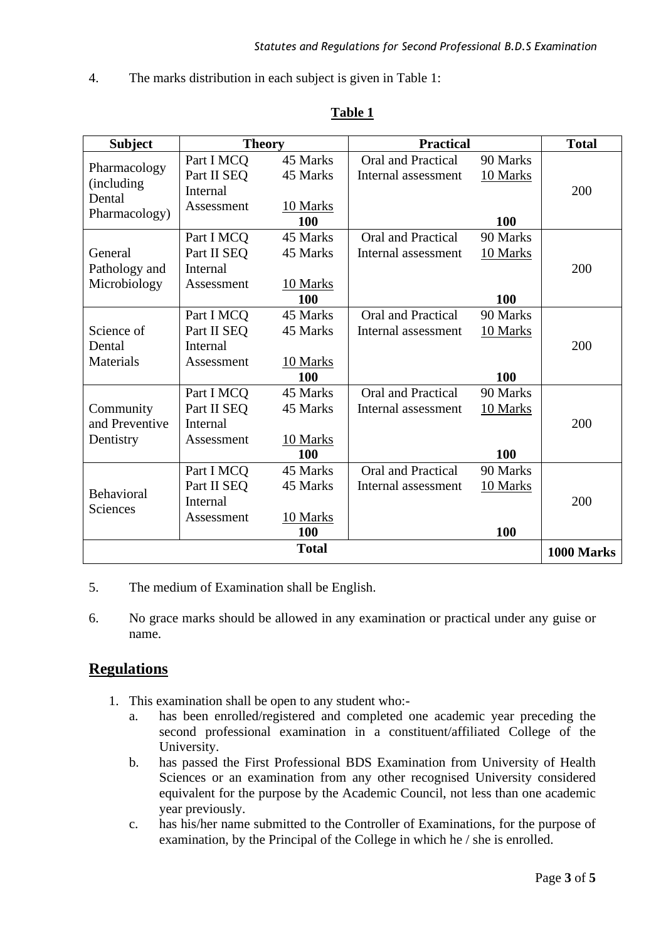4. The marks distribution in each subject is given in Table 1:

| <b>Subject</b>                                         | <b>Theory</b> |              | <b>Practical</b>          |          | <b>Total</b> |
|--------------------------------------------------------|---------------|--------------|---------------------------|----------|--------------|
| Pharmacology<br>(including)<br>Dental<br>Pharmacology) | Part I MCQ    | 45 Marks     | Oral and Practical        | 90 Marks |              |
|                                                        | Part II SEQ   | 45 Marks     | Internal assessment       | 10 Marks |              |
|                                                        | Internal      |              |                           |          | 200          |
|                                                        | Assessment    | 10 Marks     |                           |          |              |
|                                                        |               | 100          |                           | 100      |              |
|                                                        | Part I MCQ    | 45 Marks     | <b>Oral and Practical</b> | 90 Marks |              |
| General                                                | Part II SEQ   | 45 Marks     | Internal assessment       | 10 Marks |              |
| Pathology and                                          | Internal      |              |                           |          | 200          |
| Microbiology                                           | Assessment    | 10 Marks     |                           |          |              |
|                                                        |               | 100          |                           | 100      |              |
| Science of                                             | Part I MCQ    | 45 Marks     | <b>Oral and Practical</b> | 90 Marks |              |
|                                                        | Part II SEQ   | 45 Marks     | Internal assessment       | 10 Marks |              |
| Dental                                                 | Internal      |              |                           |          | 200          |
| Materials                                              | Assessment    | 10 Marks     |                           |          |              |
|                                                        |               | 100          |                           | 100      |              |
| Community                                              | Part I MCQ    | 45 Marks     | <b>Oral and Practical</b> | 90 Marks |              |
|                                                        | Part II SEQ   | 45 Marks     | Internal assessment       | 10 Marks |              |
| and Preventive                                         | Internal      |              |                           |          | 200          |
| Dentistry                                              | Assessment    | 10 Marks     |                           |          |              |
|                                                        |               | 100          |                           | 100      |              |
| <b>Behavioral</b><br>Sciences                          | Part I MCQ    | 45 Marks     | Oral and Practical        | 90 Marks |              |
|                                                        | Part II SEQ   | 45 Marks     | Internal assessment       | 10 Marks |              |
|                                                        | Internal      |              |                           |          | 200          |
|                                                        | Assessment    | 10 Marks     |                           |          |              |
|                                                        |               | 100          |                           | 100      |              |
|                                                        |               | <b>Total</b> |                           |          | 1000 Marks   |

#### **Table 1**

- 5. The medium of Examination shall be English.
- 6. No grace marks should be allowed in any examination or practical under any guise or name.

# **Regulations**

- 1. This examination shall be open to any student who:
	- a. has been enrolled/registered and completed one academic year preceding the second professional examination in a constituent/affiliated College of the University.
	- b. has passed the First Professional BDS Examination from University of Health Sciences or an examination from any other recognised University considered equivalent for the purpose by the Academic Council, not less than one academic year previously.
	- c. has his/her name submitted to the Controller of Examinations, for the purpose of examination, by the Principal of the College in which he / she is enrolled.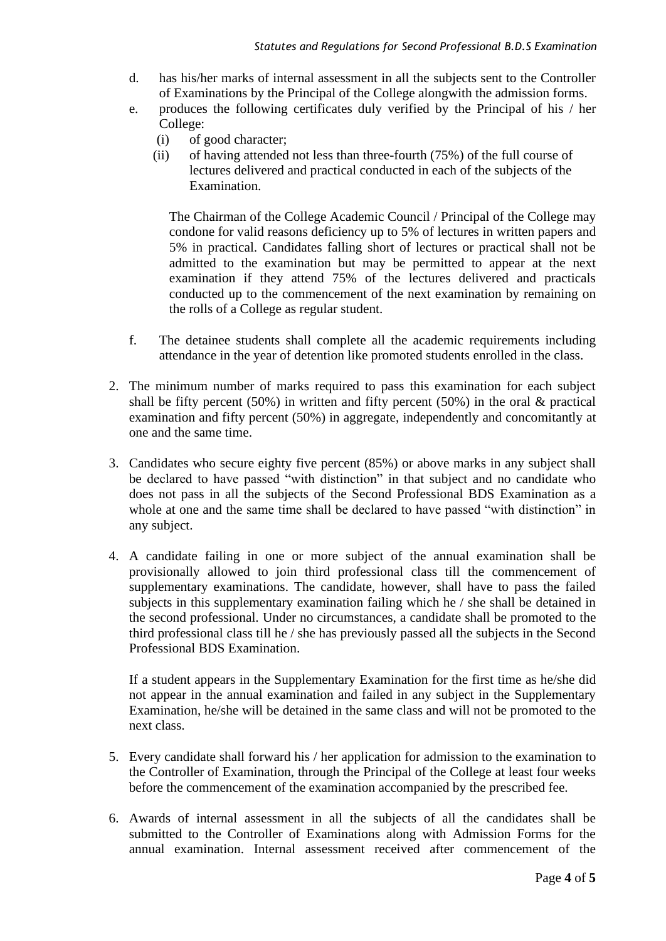- d. has his/her marks of internal assessment in all the subjects sent to the Controller of Examinations by the Principal of the College alongwith the admission forms.
- e. produces the following certificates duly verified by the Principal of his / her College:
	- (i) of good character;
	- (ii) of having attended not less than three-fourth (75%) of the full course of lectures delivered and practical conducted in each of the subjects of the Examination.

The Chairman of the College Academic Council / Principal of the College may condone for valid reasons deficiency up to 5% of lectures in written papers and 5% in practical. Candidates falling short of lectures or practical shall not be admitted to the examination but may be permitted to appear at the next examination if they attend 75% of the lectures delivered and practicals conducted up to the commencement of the next examination by remaining on the rolls of a College as regular student.

- f. The detainee students shall complete all the academic requirements including attendance in the year of detention like promoted students enrolled in the class.
- 2. The minimum number of marks required to pass this examination for each subject shall be fifty percent (50%) in written and fifty percent (50%) in the oral  $\&$  practical examination and fifty percent (50%) in aggregate, independently and concomitantly at one and the same time.
- 3. Candidates who secure eighty five percent (85%) or above marks in any subject shall be declared to have passed "with distinction" in that subject and no candidate who does not pass in all the subjects of the Second Professional BDS Examination as a whole at one and the same time shall be declared to have passed "with distinction" in any subject.
- 4. A candidate failing in one or more subject of the annual examination shall be provisionally allowed to join third professional class till the commencement of supplementary examinations. The candidate, however, shall have to pass the failed subjects in this supplementary examination failing which he / she shall be detained in the second professional. Under no circumstances, a candidate shall be promoted to the third professional class till he / she has previously passed all the subjects in the Second Professional BDS Examination.

If a student appears in the Supplementary Examination for the first time as he/she did not appear in the annual examination and failed in any subject in the Supplementary Examination, he/she will be detained in the same class and will not be promoted to the next class.

- 5. Every candidate shall forward his / her application for admission to the examination to the Controller of Examination, through the Principal of the College at least four weeks before the commencement of the examination accompanied by the prescribed fee.
- 6. Awards of internal assessment in all the subjects of all the candidates shall be submitted to the Controller of Examinations along with Admission Forms for the annual examination. Internal assessment received after commencement of the